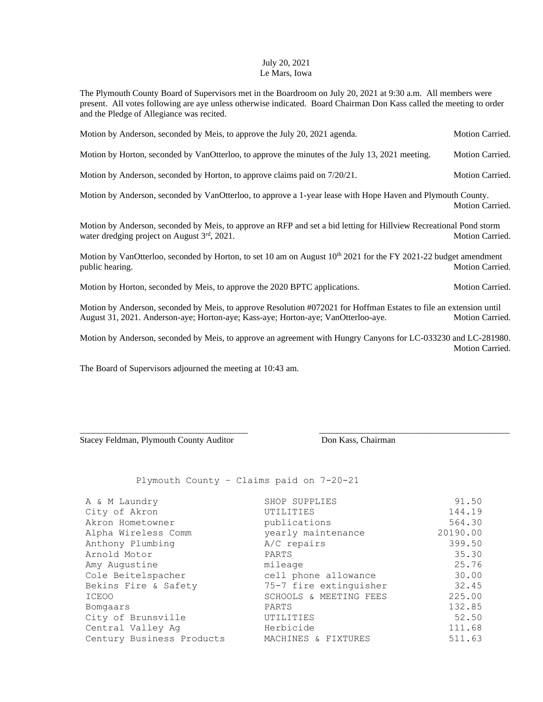## July 20, 2021 Le Mars, Iowa

The Plymouth County Board of Supervisors met in the Boardroom on July 20, 2021 at 9:30 a.m. All members were present. All votes following are aye unless otherwise indicated. Board Chairman Don Kass called the meeting to order and the Pledge of Allegiance was recited.

| Motion by Anderson, seconded by Meis, to approve the July 20, 2021 agenda.                                                                                                                              | Motion Carried.        |
|---------------------------------------------------------------------------------------------------------------------------------------------------------------------------------------------------------|------------------------|
| Motion by Horton, seconded by VanOtterloo, to approve the minutes of the July 13, 2021 meeting.                                                                                                         | Motion Carried.        |
| Motion by Anderson, seconded by Horton, to approve claims paid on $7/20/21$ .                                                                                                                           | <b>Motion Carried.</b> |
| Motion by Anderson, seconded by VanOtterloo, to approve a 1-year lease with Hope Haven and Plymouth County.                                                                                             | <b>Motion Carried.</b> |
| Motion by Anderson, seconded by Meis, to approve an RFP and set a bid letting for Hillview Recreational Pond storm<br>water dredging project on August $3rd$ , 2021.                                    | Motion Carried.        |
| Motion by VanOtterloo, seconded by Horton, to set 10 am on August $10^{th}$ 2021 for the FY 2021-22 budget amendment<br>public hearing.                                                                 | <b>Motion Carried.</b> |
| Motion by Horton, seconded by Meis, to approve the 2020 BPTC applications.                                                                                                                              | Motion Carried.        |
| Motion by Anderson, seconded by Meis, to approve Resolution #072021 for Hoffman Estates to file an extension until<br>August 31, 2021. Anderson-aye; Horton-aye; Kass-aye; Horton-aye; VanOtterloo-aye. | <b>Motion Carried.</b> |
| Motion by Anderson, seconded by Meis, to approve an agreement with Hungry Canyons for LC-033230 and LC-281980.                                                                                          | Motion Carried.        |

The Board of Supervisors adjourned the meeting at 10:43 am.

Stacey Feldman, Plymouth County Auditor Don Kass, Chairman

Plymouth County – Claims paid on 7-20-21

| A & M Laundry             | SHOP SUPPLIES          | 91.50    |
|---------------------------|------------------------|----------|
| City of Akron             | UTILITIES              | 144.19   |
| Akron Hometowner          | publications           | 564.30   |
| Alpha Wireless Comm       | yearly maintenance     | 20190.00 |
| Anthony Plumbing          | A/C repairs            | 399.50   |
| Arnold Motor              | PARTS                  | 35.30    |
| Amy Augustine             | mileage                | 25.76    |
| Cole Beitelspacher        | cell phone allowance   | 30.00    |
| Bekins Fire & Safety      | 75-7 fire extinguisher | 32.45    |
| <b>ICEOO</b>              | SCHOOLS & MEETING FEES | 225.00   |
| Bomgaars                  | PARTS                  | 132.85   |
| City of Brunsville        | UTILITIES              | 52.50    |
| Central Valley Ag         | Herbicide              | 111.68   |
| Century Business Products | MACHINES & FIXTURES    | 511.63   |

\_\_\_\_\_\_\_\_\_\_\_\_\_\_\_\_\_\_\_\_\_\_\_\_\_\_\_\_\_\_\_\_\_\_\_\_\_\_ \_\_\_\_\_\_\_\_\_\_\_\_\_\_\_\_\_\_\_\_\_\_\_\_\_\_\_\_\_\_\_\_\_\_\_\_\_\_\_\_\_\_\_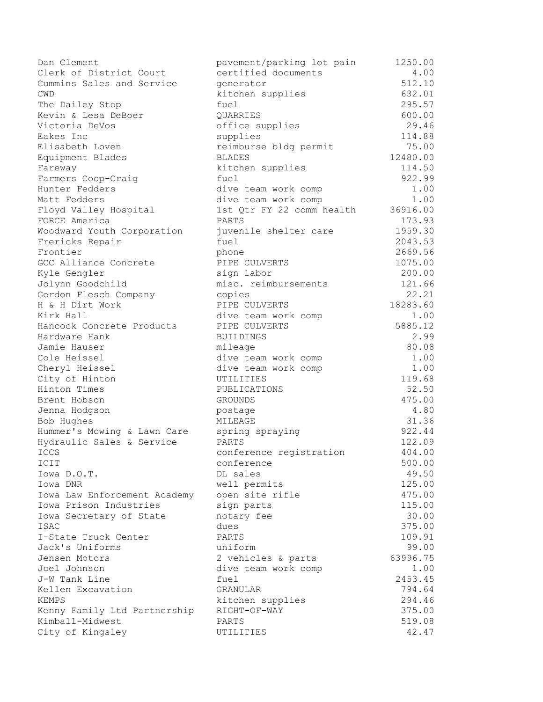Dan Clement **pavement/parking lot pain** 1250.00 Clerk of District Court certified documents 4.00 Cummins Sales and Service generator 512.10 CWD kitchen supplies 632.01 The Dailey Stop **fuel** fuel 295.57 Kevin & Lesa DeBoer QUARRIES 600.00 Victoria DeVos office supplies 29.46 Eakes Inc supplies 114.88 Elisabeth Loven reimburse bldg permit 75.00 Equipment Blades BLADES BLADES 12480.00 Fareway kitchen supplies 114.50 Farmers Coop-Craig fuel 922.99 Hunter Fedders dive team work comp 1.00 Matt Fedders and the state of the team work comp and the 1.00 Floyd Valley Hospital 1st Qtr FY 22 comm health 36916.00 FORCE America PARTS 173.93 Woodward Youth Corporation juvenile shelter care 1959.30 Frericks Repair **Freedom Repair** fuel 2043.53 Frontier 2669.56 Phone 2669.56 GCC Alliance Concrete **PIPE CULVERTS** 1075.00 Kyle Gengler sign labor 300.00 Jolynn Goodchild misc. reimbursements 121.66 Gordon Flesch Company copies 22.21 H & H Dirt Work **PIPE CULVERTS** 18283.60 Kirk Hall **East Computer Computer Computer** 1.00 Hancock Concrete Products FIPE CULVERTS 5885.12 Hardware Hank 2.99 Jamie Hauser mileage 80.08 Cole Heissel dive team work comp 1.00 Cheryl Heissel dive team work comp 1.00 City of Hinton UTILITIES 119.68 Hinton Times PUBLICATIONS 52.50 Brent Hobson GROUNDS 475.00 Jenna Hodgson postage 4.80 Bob Hughes MILEAGE 31.36 Hummer's Mowing & Lawn Care spring spraying 922.44 Hydraulic Sales & Service PARTS 122.09 ICCS and the conference registration and  $404.00$ ICIT CONSECRETE CONFERENCE CONFERENCE CONFERENCE CONFERENCE SOO.00 Iowa D.O.T. DL sales 49.50 Iowa DNR well permits 125.00 Iowa Law Enforcement Academy open site rifle 475.00 Iowa Prison Industries sign parts 115.00 Iowa Secretary of State notary fee 30.00 ISAC dues dues 375.00 I-State Truck Center PARTS 109.91 Jack's Uniforms uniform 99.00 Jensen Motors 2 vehicles & parts 63996.75 Joel Johnson dive team work comp 1.00 J-W Tank Line fuel 2453.45 Kellen Excavation GRANULAR 794.64 KEMPS kitchen supplies 294.46 Kenny Family Ltd Partnership RIGHT-OF-WAY 375.00 Kimball-Midwest PARTS 519.08 City of Kingsley UTILITIES 42.47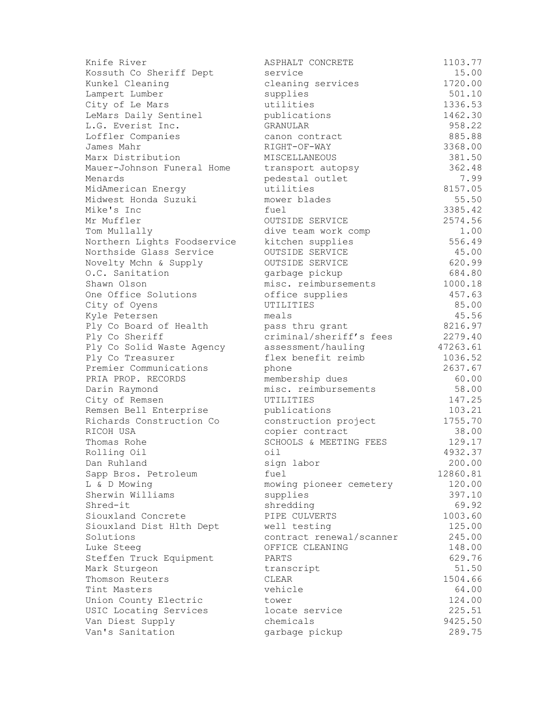| Knife River                 | ASPHALT CONCRETE         | 1103.77  |
|-----------------------------|--------------------------|----------|
| Kossuth Co Sheriff Dept     | service                  | 15.00    |
| Kunkel Cleaning             | cleaning services        | 1720.00  |
| Lampert Lumber              | supplies                 | 501.10   |
| City of Le Mars             | utilities                | 1336.53  |
| LeMars Daily Sentinel       | publications             | 1462.30  |
| L.G. Everist Inc.           | GRANULAR                 | 958.22   |
| Loffler Companies           | canon contract           | 885.88   |
| James Mahr                  | RIGHT-OF-WAY             | 3368.00  |
| Marx Distribution           | MISCELLANEOUS            | 381.50   |
| Mauer-Johnson Funeral Home  | transport autopsy        | 362.48   |
| Menards                     | pedestal outlet          | 7.99     |
| MidAmerican Energy          | utilities                | 8157.05  |
| Midwest Honda Suzuki        | mower blades             | 55.50    |
| Mike's Inc                  | fuel                     | 3385.42  |
| Mr Muffler                  | OUTSIDE SERVICE          | 2574.56  |
| Tom Mullally                | dive team work comp      | 1.00     |
| Northern Lights Foodservice | kitchen supplies         | 556.49   |
| Northside Glass Service     | OUTSIDE SERVICE          | 45.00    |
| Novelty Mchn & Supply       | OUTSIDE SERVICE          | 620.99   |
| O.C. Sanitation             | garbage pickup           | 684.80   |
| Shawn Olson                 | misc. reimbursements     | 1000.18  |
| One Office Solutions        | office supplies          | 457.63   |
| City of Oyens               | UTILITIES                | 85.00    |
| Kyle Petersen               | meals                    | 45.56    |
| Ply Co Board of Health      | pass thru grant          | 8216.97  |
| Ply Co Sheriff              | criminal/sheriff's fees  | 2279.40  |
| Ply Co Solid Waste Agency   | assessment/hauling       | 47263.61 |
| Ply Co Treasurer            | flex benefit reimb       | 1036.52  |
| Premier Communications      | phone                    | 2637.67  |
| PRIA PROP. RECORDS          | membership dues          | 60.00    |
| Darin Raymond               | misc. reimbursements     | 58.00    |
| City of Remsen              | UTILITIES                | 147.25   |
| Remsen Bell Enterprise      | publications             | 103.21   |
| Richards Construction Co    | construction project     | 1755.70  |
| RICOH USA                   | copier contract          | 38.00    |
| Thomas Rohe                 | SCHOOLS & MEETING FEES   | 129.17   |
| Rolling Oil                 | oil                      | 4932.37  |
| Dan Ruhland                 | sign labor               | 200.00   |
| Sapp Bros. Petroleum        | fuel                     | 12860.81 |
| L & D Mowing                | mowing pioneer cemetery  | 120.00   |
| Sherwin Williams            | supplies                 | 397.10   |
| Shred-it                    | shredding                | 69.92    |
| Siouxland Concrete          | PIPE CULVERTS            | 1003.60  |
| Siouxland Dist Hlth Dept    | well testing             | 125.00   |
| Solutions                   | contract renewal/scanner | 245.00   |
| Luke Steeg                  | OFFICE CLEANING          | 148.00   |
| Steffen Truck Equipment     | PARTS                    | 629.76   |
| Mark Sturgeon               | transcript               | 51.50    |
| Thomson Reuters             | CLEAR                    | 1504.66  |
| Tint Masters                | vehicle                  | 64.00    |
| Union County Electric       | tower                    | 124.00   |
| USIC Locating Services      | locate service           | 225.51   |
| Van Diest Supply            | chemicals                | 9425.50  |
| Van's Sanitation            | garbage pickup           | 289.75   |